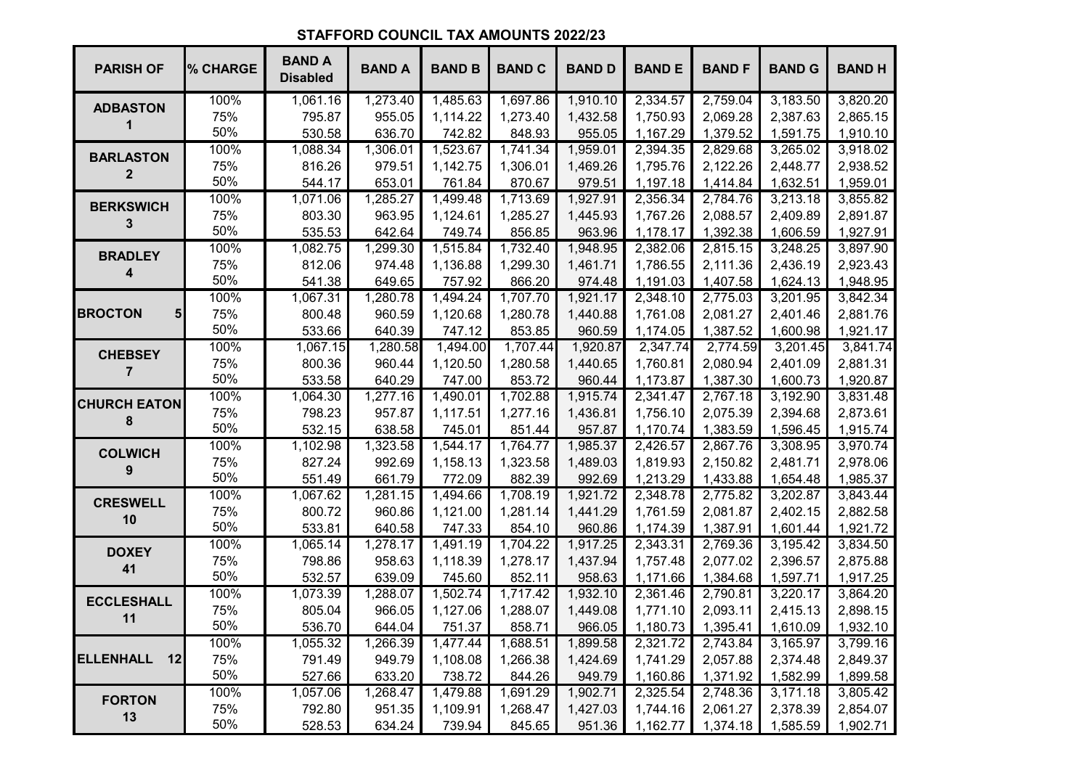## **STAFFORD COUNCIL TAX AMOUNTS 2022/23**

| <b>PARISH OF</b>                 | % CHARGE | <b>BAND A</b><br><b>Disabled</b> | <b>BAND A</b> | <b>BAND B</b>         | <b>BAND C</b>         | <b>BAND D</b> | <b>BANDE</b> | <b>BANDF</b> | <b>BAND G</b> | <b>BANDH</b> |
|----------------------------------|----------|----------------------------------|---------------|-----------------------|-----------------------|---------------|--------------|--------------|---------------|--------------|
| <b>ADBASTON</b>                  | 100%     | 1,061.16                         | 1,273.40      | 1,485.63              | 1,697.86              | 1,910.10      | 2,334.57     | 2,759.04     | 3,183.50      | 3,820.20     |
|                                  | 75%      | 795.87                           | 955.05        | 1,114.22              | 1,273.40              | 1,432.58      | 1,750.93     | 2,069.28     | 2,387.63      | 2,865.15     |
|                                  | 50%      | 530.58                           | 636.70        | 742.82                | 848.93                | 955.05        | 1,167.29     | 1,379.52     | 1,591.75      | 1,910.10     |
| <b>BARLASTON</b>                 | 100%     | 1,088.34                         | 1,306.01      | 1,523.67              | 1,741.34              | 1,959.01      | 2,394.35     | 2,829.68     | 3,265.02      | 3,918.02     |
| $\mathbf{2}$                     | 75%      | 816.26                           | 979.51        | 1,142.75              | 1,306.01              | 1,469.26      | 1,795.76     | 2,122.26     | 2,448.77      | 2,938.52     |
|                                  | 50%      | 544.17                           | 653.01        | 761.84                | 870.67                | 979.51        | 1,197.18     | 1,414.84     | 1,632.51      | 1,959.01     |
| <b>BERKSWICH</b>                 | 100%     | 1,071.06                         | 1,285.27      | 1,499.48              | 1,713.69              | 1,927.91      | 2,356.34     | 2,784.76     | 3,213.18      | 3,855.82     |
| $\mathbf{3}$                     | 75%      | 803.30                           | 963.95        | 1,124.61              | 1,285.27              | 1,445.93      | 1,767.26     | 2,088.57     | 2,409.89      | 2,891.87     |
|                                  | 50%      | 535.53                           | 642.64        | 749.74                | 856.85                | 963.96        | 1,178.17     | 1,392.38     | 1,606.59      | 1,927.91     |
| <b>BRADLEY</b>                   | 100%     | 1,082.75                         | 1,299.30      | 1,515.84              | 1,732.40              | 1,948.95      | 2,382.06     | 2,815.15     | 3,248.25      | 3,897.90     |
| 4                                | 75%      | 812.06                           | 974.48        | 1,136.88              | 1,299.30              | 1,461.71      | 1,786.55     | 2,111.36     | 2,436.19      | 2,923.43     |
|                                  | 50%      | 541.38                           | 649.65        | 757.92                | 866.20                | 974.48        | 1,191.03     | 1,407.58     | 1,624.13      | 1,948.95     |
|                                  | 100%     | 1,067.31                         | 1,280.78      | 1,494.24              | 1,707.70              | 1,921.17      | 2,348.10     | 2,775.03     | 3,201.95      | 3,842.34     |
| <b>BROCTON</b><br>5              | 75%      | 800.48                           | 960.59        | 1,120.68              | 1,280.78              | 1,440.88      | 1,761.08     | 2,081.27     | 2,401.46      | 2,881.76     |
|                                  | 50%      | 533.66                           | 640.39        | 747.12                | 853.85                | 960.59        | 1,174.05     | 1,387.52     | 1,600.98      | 1,921.17     |
| <b>CHEBSEY</b><br>$\overline{7}$ | 100%     | 1,067.15                         | 1,280.58      | $\overline{1,}494.00$ | $\overline{1,707.44}$ | 1,920.87      | 2,347.74     | 2,774.59     | 3,201.45      | 3,841.74     |
|                                  | 75%      | 800.36                           | 960.44        | 1,120.50              | 1,280.58              | 1,440.65      | 1,760.81     | 2,080.94     | 2,401.09      | 2,881.31     |
|                                  | 50%      | 533.58                           | 640.29        | 747.00                | 853.72                | 960.44        | 1,173.87     | 1,387.30     | 1,600.73      | 1,920.87     |
| <b>CHURCH EATON</b>              | 100%     | 1,064.30                         | 1,277.16      | 1,490.01              | 1,702.88              | 1,915.74      | 2,341.47     | 2,767.18     | 3,192.90      | 3,831.48     |
| 8                                | 75%      | 798.23                           | 957.87        | 1,117.51              | 1,277.16              | 1,436.81      | 1,756.10     | 2,075.39     | 2,394.68      | 2,873.61     |
|                                  | 50%      | 532.15                           | 638.58        | 745.01                | 851.44                | 957.87        | 1,170.74     | 1,383.59     | 1,596.45      | 1,915.74     |
| <b>COLWICH</b>                   | 100%     | 1,102.98                         | 1,323.58      | 1,544.17              | 1,764.77              | 1,985.37      | 2,426.57     | 2,867.76     | 3,308.95      | 3,970.74     |
| 9                                | 75%      | 827.24                           | 992.69        | 1,158.13              | 1,323.58              | 1,489.03      | 1,819.93     | 2,150.82     | 2,481.71      | 2,978.06     |
|                                  | 50%      | 551.49                           | 661.79        | 772.09                | 882.39                | 992.69        | 1,213.29     | 1,433.88     | 1,654.48      | 1,985.37     |
| <b>CRESWELL</b>                  | 100%     | 1,067.62                         | 1,281.15      | 1,494.66              | 1,708.19              | 1,921.72      | 2,348.78     | 2,775.82     | 3,202.87      | 3,843.44     |
| 10                               | 75%      | 800.72                           | 960.86        | 1,121.00              | 1,281.14              | 1,441.29      | 1,761.59     | 2,081.87     | 2,402.15      | 2,882.58     |
|                                  | 50%      | 533.81                           | 640.58        | 747.33                | 854.10                | 960.86        | 1,174.39     | 1,387.91     | 1,601.44      | 1,921.72     |
| <b>DOXEY</b>                     | 100%     | 1,065.14                         | 1,278.17      | 1,491.19              | 1,704.22              | 1,917.25      | 2,343.31     | 2,769.36     | 3,195.42      | 3,834.50     |
| 41                               | 75%      | 798.86                           | 958.63        | 1,118.39              | 1,278.17              | 1,437.94      | 1,757.48     | 2,077.02     | 2,396.57      | 2,875.88     |
|                                  | 50%      | 532.57                           | 639.09        | 745.60                | 852.11                | 958.63        | 1,171.66     | 1,384.68     | 1,597.71      | 1,917.25     |
| <b>ECCLESHALL</b>                | 100%     | 1,073.39                         | 1,288.07      | 1,502.74              | 1,717.42              | 1,932.10      | 2,361.46     | 2,790.81     | 3,220.17      | 3,864.20     |
| 11                               | 75%      | 805.04                           | 966.05        | 1,127.06              | 1,288.07              | 1,449.08      | 1,771.10     | 2,093.11     | 2,415.13      | 2,898.15     |
|                                  | 50%      | 536.70                           | 644.04        | 751.37                | 858.71                | 966.05        | 1,180.73     | 1,395.41     | 1,610.09      | 1,932.10     |
| <b>ELLENHALL</b><br>12           | 100%     | 1,055.32                         | 1,266.39      | 1,477.44              | 1,688.51              | 1,899.58      | 2,321.72     | 2,743.84     | 3,165.97      | 3,799.16     |
|                                  | 75%      | 791.49                           | 949.79        | 1,108.08              | 1,266.38              | 1,424.69      | 1,741.29     | 2,057.88     | 2,374.48      | 2,849.37     |
|                                  | 50%      | 527.66                           | 633.20        | 738.72                | 844.26                | 949.79        | 1,160.86     | 1,371.92     | 1,582.99      | 1,899.58     |
| <b>FORTON</b>                    | 100%     | 1,057.06                         | 1,268.47      | 1,479.88              | 1,691.29              | 1,902.71      | 2,325.54     | 2,748.36     | 3,171.18      | 3,805.42     |
| 13                               | 75%      | 792.80                           | 951.35        | 1,109.91              | 1,268.47              | 1,427.03      | 1,744.16     | 2,061.27     | 2,378.39      | 2,854.07     |
|                                  | 50%      | 528.53                           | 634.24        | 739.94                | 845.65                | 951.36        | 1,162.77     | 1,374.18     | 1,585.59      | 1,902.71     |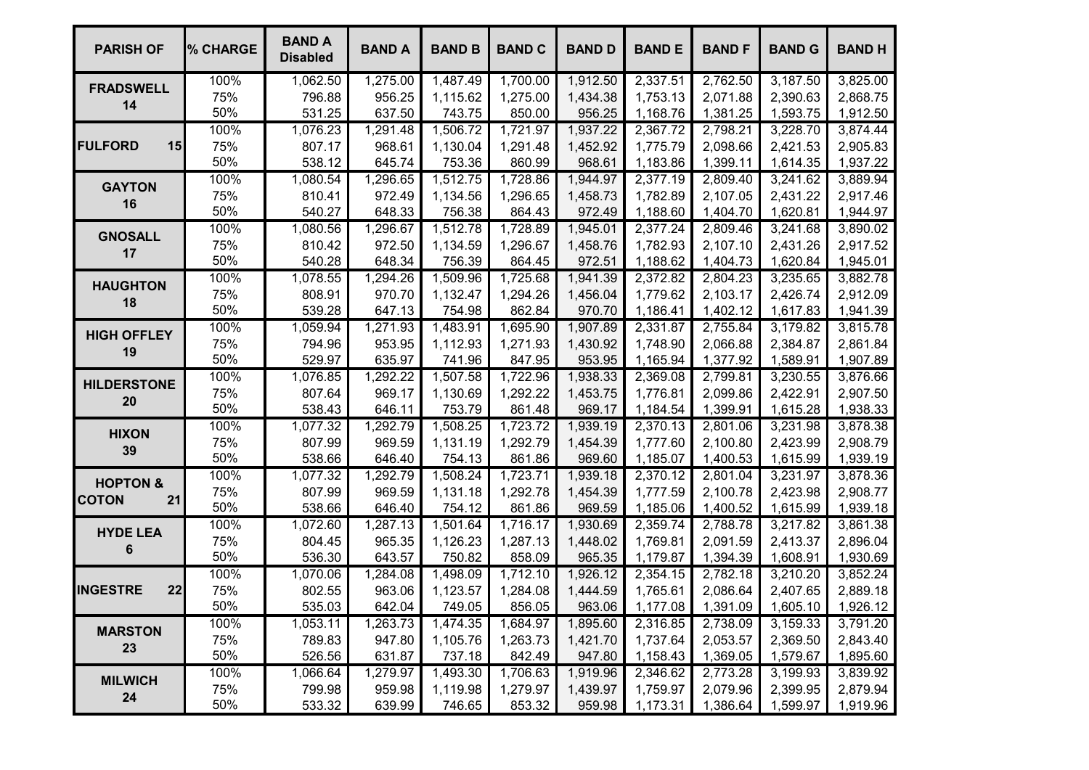| <b>PARISH OF</b>         | % CHARGE | <b>BAND A</b><br><b>Disabled</b> | <b>BAND A</b> | <b>BAND B</b> | <b>BAND C</b> | <b>BAND D</b> | <b>BANDE</b> | <b>BANDF</b> | <b>BAND G</b> | <b>BANDH</b> |
|--------------------------|----------|----------------------------------|---------------|---------------|---------------|---------------|--------------|--------------|---------------|--------------|
| <b>FRADSWELL</b><br>14   | 100%     | 1,062.50                         | 1,275.00      | 1,487.49      | 1,700.00      | 1,912.50      | 2,337.51     | 2,762.50     | 3,187.50      | 3,825.00     |
|                          | 75%      | 796.88                           | 956.25        | 1,115.62      | 1,275.00      | 1,434.38      | 1,753.13     | 2,071.88     | 2,390.63      | 2,868.75     |
|                          | 50%      | 531.25                           | 637.50        | 743.75        | 850.00        | 956.25        | 1,168.76     | 1,381.25     | 1,593.75      | 1,912.50     |
|                          | 100%     | 1,076.23                         | 1,291.48      | 1,506.72      | 1,721.97      | 1,937.22      | 2,367.72     | 2,798.21     | 3,228.70      | 3,874.44     |
| <b>FULFORD</b><br>15     | 75%      | 807.17                           | 968.61        | 1,130.04      | 1,291.48      | 1,452.92      | 1,775.79     | 2,098.66     | 2,421.53      | 2,905.83     |
|                          | 50%      | 538.12                           | 645.74        | 753.36        | 860.99        | 968.61        | 1,183.86     | 1,399.11     | 1,614.35      | 1,937.22     |
| <b>GAYTON</b>            | 100%     | 1,080.54                         | 1,296.65      | 1,512.75      | 1,728.86      | 1,944.97      | 2,377.19     | 2,809.40     | 3,241.62      | 3,889.94     |
| 16                       | 75%      | 810.41                           | 972.49        | 1,134.56      | 1,296.65      | 1,458.73      | 1,782.89     | 2,107.05     | 2,431.22      | 2,917.46     |
|                          | 50%      | 540.27                           | 648.33        | 756.38        | 864.43        | 972.49        | 1,188.60     | 1,404.70     | 1,620.81      | 1,944.97     |
| <b>GNOSALL</b>           | 100%     | 1,080.56                         | 1,296.67      | 1,512.78      | 1,728.89      | 1,945.01      | 2,377.24     | 2,809.46     | 3,241.68      | 3,890.02     |
| 17                       | 75%      | 810.42                           | 972.50        | 1,134.59      | 1,296.67      | 1,458.76      | 1,782.93     | 2,107.10     | 2,431.26      | 2,917.52     |
|                          | 50%      | 540.28                           | 648.34        | 756.39        | 864.45        | 972.51        | 1,188.62     | 1,404.73     | 1,620.84      | 1,945.01     |
| <b>HAUGHTON</b>          | 100%     | 1,078.55                         | 1,294.26      | 1,509.96      | 1,725.68      | 1,941.39      | 2,372.82     | 2,804.23     | 3,235.65      | 3,882.78     |
| 18                       | 75%      | 808.91                           | 970.70        | 1,132.47      | 1,294.26      | 1,456.04      | 1,779.62     | 2,103.17     | 2,426.74      | 2,912.09     |
|                          | 50%      | 539.28                           | 647.13        | 754.98        | 862.84        | 970.70        | 1,186.41     | 1,402.12     | 1,617.83      | 1,941.39     |
| <b>HIGH OFFLEY</b><br>19 | 100%     | 1,059.94                         | 1,271.93      | 1,483.91      | 1,695.90      | 1,907.89      | 2,331.87     | 2,755.84     | 3,179.82      | 3,815.78     |
|                          | 75%      | 794.96                           | 953.95        | 1,112.93      | 1,271.93      | 1,430.92      | 1,748.90     | 2,066.88     | 2,384.87      | 2,861.84     |
|                          | 50%      | 529.97                           | 635.97        | 741.96        | 847.95        | 953.95        | 1,165.94     | 1,377.92     | 1,589.91      | 1,907.89     |
| <b>HILDERSTONE</b>       | 100%     | 1,076.85                         | 1,292.22      | 1,507.58      | 1,722.96      | 1,938.33      | 2,369.08     | 2,799.81     | 3,230.55      | 3,876.66     |
| 20                       | 75%      | 807.64                           | 969.17        | 1,130.69      | 1,292.22      | 1,453.75      | 1,776.81     | 2,099.86     | 2,422.91      | 2,907.50     |
|                          | 50%      | 538.43                           | 646.11        | 753.79        | 861.48        | 969.17        | 1,184.54     | 1,399.91     | 1,615.28      | 1,938.33     |
| <b>HIXON</b>             | 100%     | 1,077.32                         | 1,292.79      | 1,508.25      | 1,723.72      | 1,939.19      | 2,370.13     | 2,801.06     | 3,231.98      | 3,878.38     |
| 39                       | 75%      | 807.99                           | 969.59        | 1,131.19      | 1,292.79      | 1,454.39      | 1,777.60     | 2,100.80     | 2,423.99      | 2,908.79     |
|                          | 50%      | 538.66                           | 646.40        | 754.13        | 861.86        | 969.60        | 1,185.07     | 1,400.53     | 1,615.99      | 1,939.19     |
| <b>HOPTON &amp;</b>      | 100%     | 1,077.32                         | 1,292.79      | 1,508.24      | 1,723.71      | 1,939.18      | 2,370.12     | 2,801.04     | 3,231.97      | 3,878.36     |
| <b>COTON</b><br>21       | 75%      | 807.99                           | 969.59        | 1,131.18      | 1,292.78      | 1,454.39      | 1,777.59     | 2,100.78     | 2,423.98      | 2,908.77     |
|                          | 50%      | 538.66                           | 646.40        | 754.12        | 861.86        | 969.59        | 1,185.06     | 1,400.52     | 1,615.99      | 1,939.18     |
| <b>HYDE LEA</b>          | 100%     | 1,072.60                         | 1,287.13      | 1,501.64      | 1,716.17      | 1,930.69      | 2,359.74     | 2,788.78     | 3,217.82      | 3,861.38     |
| 6                        | 75%      | 804.45                           | 965.35        | 1,126.23      | 1,287.13      | 1,448.02      | 1,769.81     | 2,091.59     | 2,413.37      | 2,896.04     |
|                          | 50%      | 536.30                           | 643.57        | 750.82        | 858.09        | 965.35        | 1,179.87     | 1,394.39     | 1,608.91      | 1,930.69     |
|                          | 100%     | 1,070.06                         | 1,284.08      | 1,498.09      | 1,712.10      | 1,926.12      | 2,354.15     | 2,782.18     | 3,210.20      | 3,852.24     |
| <b>INGESTRE</b><br>22    | 75%      | 802.55                           | 963.06        | 1,123.57      | 1,284.08      | 1,444.59      | 1,765.61     | 2,086.64     | 2,407.65      | 2,889.18     |
|                          | 50%      | 535.03                           | 642.04        | 749.05        | 856.05        | 963.06        | 1,177.08     | 1,391.09     | 1,605.10      | 1,926.12     |
| <b>MARSTON</b><br>23     | 100%     | 1,053.11                         | 1,263.73      | 1,474.35      | 1,684.97      | 1,895.60      | 2,316.85     | 2,738.09     | 3,159.33      | 3,791.20     |
|                          | 75%      | 789.83                           | 947.80        | 1,105.76      | 1,263.73      | 1,421.70      | 1,737.64     | 2,053.57     | 2,369.50      | 2,843.40     |
|                          | 50%      | 526.56                           | 631.87        | 737.18        | 842.49        | 947.80        | 1,158.43     | 1,369.05     | 1,579.67      | 1,895.60     |
| <b>MILWICH</b>           | 100%     | 1,066.64                         | 1,279.97      | 1,493.30      | 1,706.63      | 1,919.96      | 2,346.62     | 2,773.28     | 3,199.93      | 3,839.92     |
|                          | 75%      | 799.98                           | 959.98        | 1,119.98      | 1,279.97      | 1,439.97      | 1,759.97     | 2,079.96     | 2,399.95      | 2,879.94     |
| 24                       | 50%      | 533.32                           | 639.99        | 746.65        | 853.32        | 959.98        | 1,173.31     | 1,386.64     | 1,599.97      | 1,919.96     |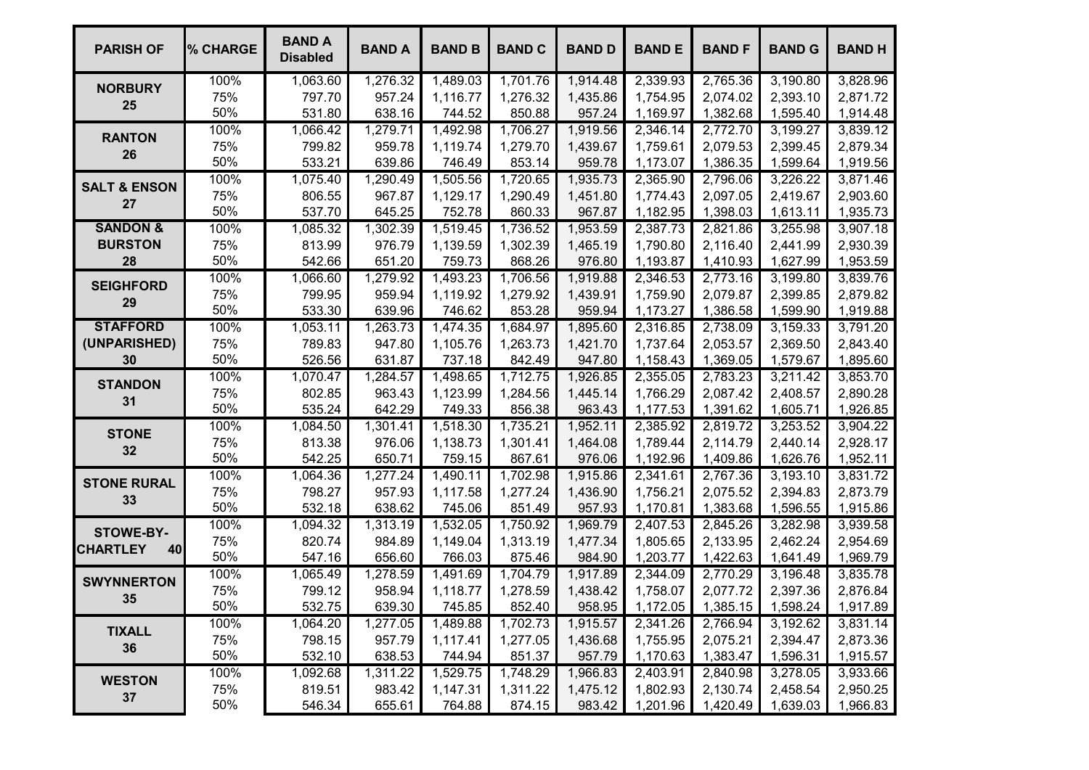| <b>PARISH OF</b>        | % CHARGE | <b>BAND A</b><br><b>Disabled</b> | <b>BAND A</b> | <b>BAND B</b> | <b>BAND C</b> | <b>BAND D</b> | <b>BANDE</b> | <b>BANDF</b> | <b>BAND G</b> | <b>BANDH</b> |
|-------------------------|----------|----------------------------------|---------------|---------------|---------------|---------------|--------------|--------------|---------------|--------------|
| <b>NORBURY</b><br>25    | 100%     | 1,063.60                         | 1,276.32      | 1,489.03      | 1,701.76      | 1,914.48      | 2,339.93     | 2,765.36     | 3,190.80      | 3,828.96     |
|                         | 75%      | 797.70                           | 957.24        | 1,116.77      | 1,276.32      | 1,435.86      | 1,754.95     | 2,074.02     | 2,393.10      | 2,871.72     |
|                         | 50%      | 531.80                           | 638.16        | 744.52        | 850.88        | 957.24        | 1,169.97     | 1,382.68     | 1,595.40      | 1,914.48     |
| <b>RANTON</b><br>26     | 100%     | 1,066.42                         | 1,279.71      | 1,492.98      | 1,706.27      | 1,919.56      | 2,346.14     | 2,772.70     | 3,199.27      | 3,839.12     |
|                         | 75%      | 799.82                           | 959.78        | 1,119.74      | 1,279.70      | 1,439.67      | 1,759.61     | 2,079.53     | 2,399.45      | 2,879.34     |
|                         | 50%      | 533.21                           | 639.86        | 746.49        | 853.14        | 959.78        | 1,173.07     | 1,386.35     | 1,599.64      | 1,919.56     |
| <b>SALT &amp; ENSON</b> | 100%     | 1,075.40                         | 1,290.49      | 1,505.56      | 1,720.65      | 1,935.73      | 2,365.90     | 2,796.06     | 3,226.22      | 3,871.46     |
| 27                      | 75%      | 806.55                           | 967.87        | 1,129.17      | 1,290.49      | 1,451.80      | 1,774.43     | 2,097.05     | 2,419.67      | 2,903.60     |
|                         | 50%      | 537.70                           | 645.25        | 752.78        | 860.33        | 967.87        | 1,182.95     | 1,398.03     | 1,613.11      | 1,935.73     |
| <b>SANDON &amp;</b>     | 100%     | 1,085.32                         | 1,302.39      | 1,519.45      | 1,736.52      | 1,953.59      | 2,387.73     | 2,821.86     | 3,255.98      | 3,907.18     |
| <b>BURSTON</b>          | 75%      | 813.99                           | 976.79        | 1,139.59      | 1,302.39      | 1,465.19      | 1,790.80     | 2,116.40     | 2,441.99      | 2,930.39     |
| 28                      | 50%      | 542.66                           | 651.20        | 759.73        | 868.26        | 976.80        | 1,193.87     | 1,410.93     | 1,627.99      | 1,953.59     |
| <b>SEIGHFORD</b>        | 100%     | 1,066.60                         | 1,279.92      | 1,493.23      | 1,706.56      | 1,919.88      | 2,346.53     | 2,773.16     | 3,199.80      | 3,839.76     |
| 29                      | 75%      | 799.95                           | 959.94        | 1,119.92      | 1,279.92      | 1,439.91      | 1,759.90     | 2,079.87     | 2,399.85      | 2,879.82     |
|                         | 50%      | 533.30                           | 639.96        | 746.62        | 853.28        | 959.94        | 1,173.27     | 1,386.58     | 1,599.90      | 1,919.88     |
| <b>STAFFORD</b>         | 100%     | 1,053.11                         | 1,263.73      | 1,474.35      | 1,684.97      | 1,895.60      | 2,316.85     | 2,738.09     | 3,159.33      | 3,791.20     |
| (UNPARISHED)            | 75%      | 789.83                           | 947.80        | 1,105.76      | 1,263.73      | 1,421.70      | 1,737.64     | 2,053.57     | 2,369.50      | 2,843.40     |
| 30                      | 50%      | 526.56                           | 631.87        | 737.18        | 842.49        | 947.80        | 1,158.43     | 1,369.05     | 1,579.67      | 1,895.60     |
| <b>STANDON</b>          | 100%     | 1,070.47                         | 1,284.57      | 1,498.65      | 1,712.75      | 1,926.85      | 2,355.05     | 2,783.23     | 3,211.42      | 3,853.70     |
| 31                      | 75%      | 802.85                           | 963.43        | 1,123.99      | 1,284.56      | 1,445.14      | 1,766.29     | 2,087.42     | 2,408.57      | 2,890.28     |
|                         | 50%      | 535.24                           | 642.29        | 749.33        | 856.38        | 963.43        | 1,177.53     | 1,391.62     | 1,605.71      | 1,926.85     |
| <b>STONE</b><br>32      | 100%     | 1,084.50                         | 1,301.41      | 1,518.30      | 1,735.21      | 1,952.11      | 2,385.92     | 2,819.72     | 3,253.52      | 3,904.22     |
|                         | 75%      | 813.38                           | 976.06        | 1,138.73      | 1,301.41      | 1,464.08      | 1,789.44     | 2,114.79     | 2,440.14      | 2,928.17     |
|                         | 50%      | 542.25                           | 650.71        | 759.15        | 867.61        | 976.06        | 1,192.96     | 1,409.86     | 1,626.76      | 1,952.11     |
| <b>STONE RURAL</b>      | 100%     | 1,064.36                         | 1,277.24      | 1,490.11      | 1,702.98      | 1,915.86      | 2,341.61     | 2,767.36     | 3,193.10      | 3,831.72     |
| 33                      | 75%      | 798.27                           | 957.93        | 1,117.58      | 1,277.24      | 1,436.90      | 1,756.21     | 2,075.52     | 2,394.83      | 2,873.79     |
|                         | 50%      | 532.18                           | 638.62        | 745.06        | 851.49        | 957.93        | 1,170.81     | 1,383.68     | 1,596.55      | 1,915.86     |
| STOWE-BY-               | 100%     | 1,094.32                         | 1,313.19      | 1,532.05      | 1,750.92      | 1,969.79      | 2,407.53     | 2,845.26     | 3,282.98      | 3,939.58     |
| <b>CHARTLEY</b><br>40   | 75%      | 820.74                           | 984.89        | 1,149.04      | 1,313.19      | 1,477.34      | 1,805.65     | 2,133.95     | 2,462.24      | 2,954.69     |
|                         | 50%      | 547.16                           | 656.60        | 766.03        | 875.46        | 984.90        | 1,203.77     | 1,422.63     | 1,641.49      | 1,969.79     |
| <b>SWYNNERTON</b>       | 100%     | 1,065.49                         | 1,278.59      | 1,491.69      | 1,704.79      | 1,917.89      | 2,344.09     | 2,770.29     | 3,196.48      | 3,835.78     |
| 35                      | 75%      | 799.12                           | 958.94        | 1,118.77      | 1,278.59      | 1,438.42      | 1,758.07     | 2,077.72     | 2,397.36      | 2,876.84     |
|                         | 50%      | 532.75                           | 639.30        | 745.85        | 852.40        | 958.95        | 1,172.05     | 1,385.15     | 1,598.24      | 1,917.89     |
| <b>TIXALL</b>           | 100%     | 1,064.20                         | 1,277.05      | 1,489.88      | 1,702.73      | 1,915.57      | 2,341.26     | 2,766.94     | 3,192.62      | 3,831.14     |
| 36                      | 75%      | 798.15                           | 957.79        | 1,117.41      | 1,277.05      | 1,436.68      | 1,755.95     | 2,075.21     | 2,394.47      | 2,873.36     |
|                         | 50%      | 532.10                           | 638.53        | 744.94        | 851.37        | 957.79        | 1,170.63     | 1,383.47     | 1,596.31      | 1,915.57     |
| <b>WESTON</b>           | 100%     | 1,092.68                         | 1,311.22      | 1,529.75      | 1,748.29      | 1,966.83      | 2,403.91     | 2,840.98     | 3,278.05      | 3,933.66     |
|                         | 75%      | 819.51                           | 983.42        | 1,147.31      | 1,311.22      | 1,475.12      | 1,802.93     | 2,130.74     | 2,458.54      | 2,950.25     |
| 37                      | 50%      | 546.34                           | 655.61        | 764.88        | 874.15        | 983.42        | 1,201.96     | 1,420.49     | 1,639.03      | 1,966.83     |